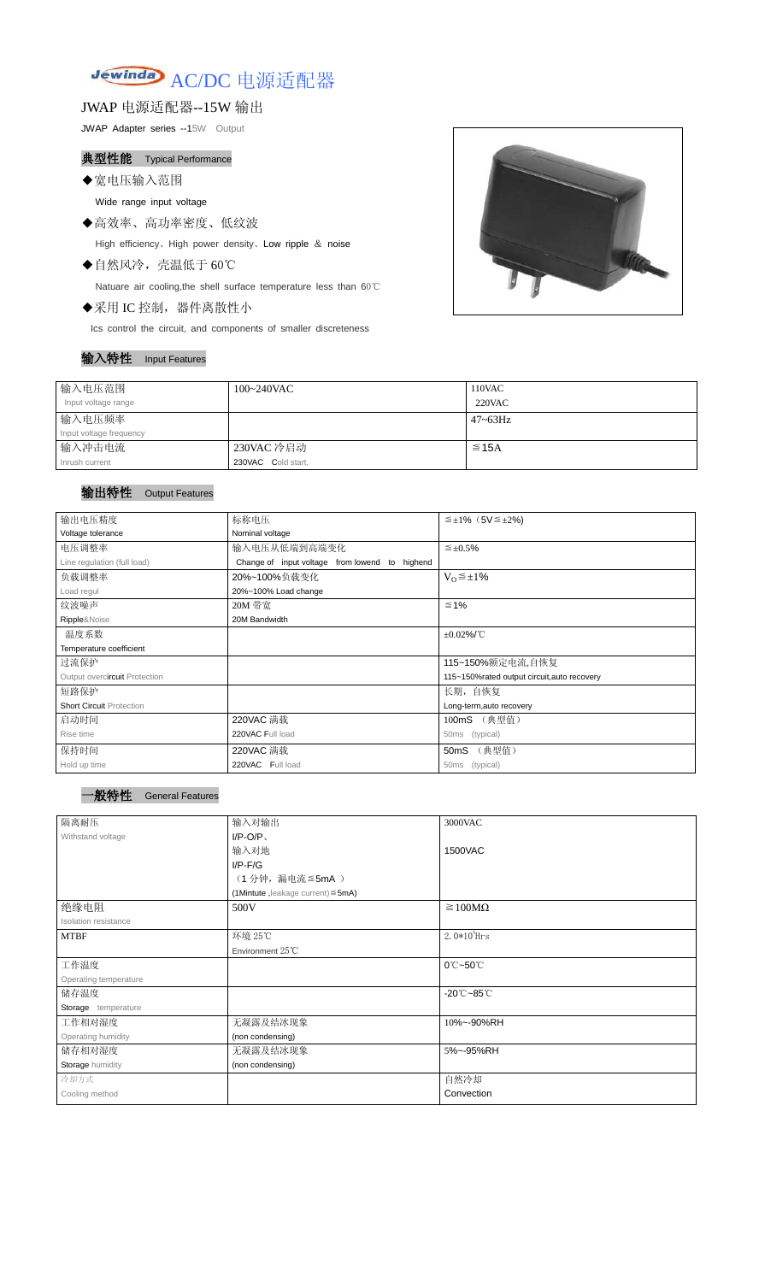

JWAP 电源适配器--15W 输出

JWAP Adapter series --15W Output

# 典型性能 Typical Performance

◆宽电压输入范围

Wide range input voltage

◆高效率、高功率密度、低纹波

High efficiency、High power density、Low ripple & noise

◆自然风冷,壳温低于 60℃

Natuare air cooling,the shell surface temperature less than 60℃

◆采用 IC 控制,器件离散性小

Ics control the circuit, and components of smaller discreteness

#### 输入特性 Input Features



| 输入电压范围                  | 100~240VAC         | 110VAC          |
|-------------------------|--------------------|-----------------|
| Input voltage range     |                    | $220$ VAC       |
| 输入电压频率                  |                    | $47 \sim 63$ Hz |
| Input voltage frequency |                    |                 |
| 输入冲击电流                  | 230VAC 冷启动         | $\leq$ 15A      |
| Inrush current          | 230VAC Cold start, |                 |

## 输出特性 Output Features

| 输出电压精度                          | 标称电压                                                 | $\leq \pm 1\%$ (5V $\leq \pm 2\%$ )         |  |  |
|---------------------------------|------------------------------------------------------|---------------------------------------------|--|--|
| Voltage tolerance               | Nominal voltage                                      |                                             |  |  |
| 电压调整率                           | 输入电压从低端到高端变化<br>$\leq \pm 0.5\%$                     |                                             |  |  |
| Line regulation (full load)     | Change of input voltage<br>from lowend to<br>highend |                                             |  |  |
| 负载调整率                           | 20%~100%负载变化<br>$V_0 \leq \pm 1\%$                   |                                             |  |  |
| Load regul                      | 20%~100% Load change                                 |                                             |  |  |
| 纹波噪声                            | 20M 带宽                                               | $\leq 1\%$                                  |  |  |
| Ripple&Noise                    | 20M Bandwidth                                        |                                             |  |  |
| 温度系数                            |                                                      | $\pm 0.02\%$ /°C                            |  |  |
| Temperature coefficient         |                                                      |                                             |  |  |
| 过流保护                            |                                                      | 115~150%额定电流,自恢复                            |  |  |
| Output overcircuit Protection   |                                                      | 115~150%rated output circuit, auto recovery |  |  |
| 短路保护                            | 长期, 自恢复                                              |                                             |  |  |
| <b>Short Circuit Protection</b> |                                                      | Long-term, auto recovery                    |  |  |
| 启动时间                            | 220VAC 满载                                            | 100mS (典型值)                                 |  |  |
| Rise time                       | 220VAC Full load                                     | (typical)<br>50 <sub>ms</sub>               |  |  |
| 保持时间                            | 220VAC 满载                                            | (典型值)<br>50 <sub>m</sub> S                  |  |  |
| Hold up time                    | 220VAC Full load                                     | (typical)<br>50 <sub>ms</sub>               |  |  |

| 隔离耐压                    | 输入对输出                                      | 3000VAC                                  |
|-------------------------|--------------------------------------------|------------------------------------------|
| Withstand voltage       | $I/P-O/P$                                  |                                          |
|                         | 输入对地                                       | 1500VAC                                  |
|                         | $I/P-F/G$                                  |                                          |
|                         | (1分钟,漏电流≦5mA)                              |                                          |
|                         | $(1$ Mintute, leakage current) $\leq$ 5mA) |                                          |
| 绝缘电阻                    | 500V                                       | $\geq 100M\Omega$                        |
| Isolation resistance    |                                            |                                          |
| <b>MTBF</b>             | 环境 25℃                                     | $2.0*10^5$ Hrs                           |
|                         | Environment 25°C                           |                                          |
| 工作温度                    |                                            | 0°C~50°C                                 |
| Operating temperature   |                                            |                                          |
| 储存温度                    |                                            | $-20^{\circ}\text{C}-85^{\circ}\text{C}$ |
| Storage temperature     |                                            |                                          |
| 工作相对湿度                  | 无凝露及结冰现象                                   | 10%~-90%RH                               |
| Operating humidity      | (non condensing)                           |                                          |
| 储存相对湿度                  | 无凝露及结冰现象                                   | 5%~-95%RH                                |
| <b>Storage humidity</b> | (non condensing)                           |                                          |
| 冷却方式                    |                                            | 自然冷却                                     |
| Cooling method          |                                            | Convection                               |